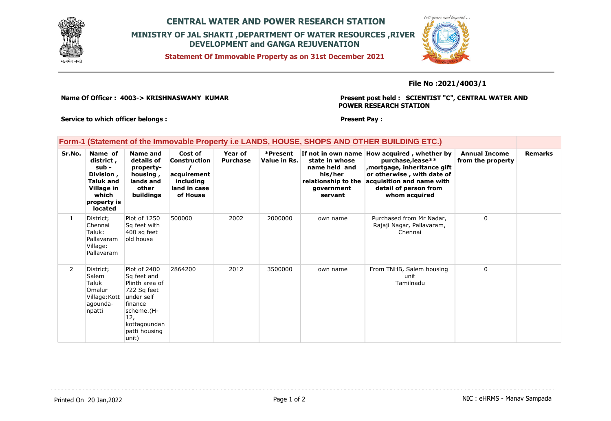

# **CENTRAL WATER AND POWER RESEARCH STATION MINISTRY OF JAL SHAKTI ,DEPARTMENT OF WATER RESOURCES ,RIVER DEVELOPMENT and GANGA REJUVENATION**

**Statement Of Immovable Property as on 31st December 2021**



**File No :2021/4003/1**

**Name Of Officer : 4003-> KRISHNASWAMY KUMAR** 

**Present post held : SCIENTIST "C", CENTRAL WATER AND POWER RESEARCH STATION**

**Service to which officer belongs :** 

**Present Pay :** 

### **Form-1 (Statement of the Immovable Property i.e LANDS, HOUSE, SHOPS AND OTHER BUILDING ETC.)**

| Sr.No.         | Name of<br>district,<br>sub -<br>Division,<br><b>Taluk and</b><br>Village in<br>which<br>property is<br>located | Name and<br>details of<br>property-<br>housing,<br>lands and<br>other<br>buildings                                                                   | Cost of<br>Construction<br>acquirement<br>including<br>land in case<br>of House | Year of<br><b>Purchase</b> | *Present<br>Value in Rs. | state in whose<br>name held and<br>his/her<br>relationship to the<br>government<br>servant | If not in own name How acquired, whether by<br>purchase, lease**<br>mortgage, inheritance gift,<br>or otherwise, with date of<br>acquisition and name with<br>detail of person from<br>whom acquired | <b>Annual Income</b><br>from the property | <b>Remarks</b> |
|----------------|-----------------------------------------------------------------------------------------------------------------|------------------------------------------------------------------------------------------------------------------------------------------------------|---------------------------------------------------------------------------------|----------------------------|--------------------------|--------------------------------------------------------------------------------------------|------------------------------------------------------------------------------------------------------------------------------------------------------------------------------------------------------|-------------------------------------------|----------------|
| $\mathbf{1}$   | District;<br>Chennai<br>Taluk:<br>Pallavaram<br>Village:<br>Pallavaram                                          | Plot of 1250<br>Sq feet with<br>400 sq feet<br>old house                                                                                             | 500000                                                                          | 2002                       | 2000000                  | own name                                                                                   | Purchased from Mr Nadar,<br>Rajaji Nagar, Pallavaram,<br>Chennai                                                                                                                                     | $\Omega$                                  |                |
| $\overline{2}$ | District:<br>Salem<br>Taluk<br>Omalur<br>Village: Kott<br>agounda-<br>npatti                                    | Plot of 2400<br>Sq feet and<br>Plinth area of<br>722 Sq feet<br>under self<br>finance<br>scheme.(H-<br>12,<br>kottagoundan<br>patti housing<br>unit) | 2864200                                                                         | 2012                       | 3500000                  | own name                                                                                   | From TNHB, Salem housing<br>unit<br>Tamilnadu                                                                                                                                                        | $\mathbf 0$                               |                |

Printed On 20 Jan, 2022 **Page 1 of 2** Page 1 of 2 **Page 1 of 2** NIC : eHRMS - Manav Sampada